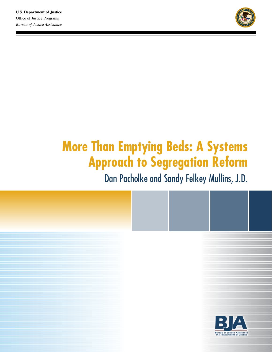

# **More Than Emptying Beds: A Systems Approach to Segregation Reform**

Dan Pacholke and Sandy Felkey Mullins, J.D.

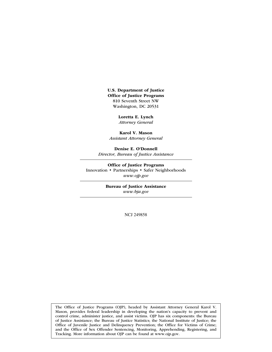U.S. Department of Justice Office of Justice Programs 810 Seventh Street NW Washington, DC 20531

> Loretta E. Lynch *Attorney General*

Karol V. Mason *Assistant Attorney General*

Denise E. O'Donnell *Director, Bureau of Justice Assistance*

Office of Justice Programs Innovation • Partnerships • Safer Neighborhoods *www.ojp.gov*

> Bureau of Justice Assistance *www.bja.gov*

> > NCJ 249858

The Office of Justice Programs (OJP), headed by Assistant Attorney General Karol V. Mason, provides federal leadership in developing the nation's capacity to prevent and control crime, administer justice, and assist victims. OJP has six components: the Bureau of Justice Assistance; the Bureau of Justice Statistics; the National Institute of Justice; the Office of Juvenile Justice and Delinquency Prevention; the Office for Victims of Crime; and the Office of Sex Offender Sentencing, Monitoring, Apprehending, Registering, and Tracking. More information about OJP can be found at www.ojp.gov.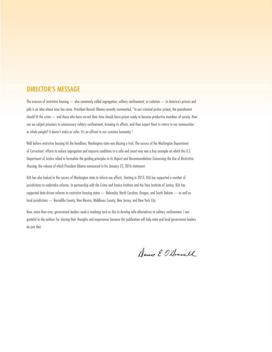## DIRECTOR'S MESSAGE

The overuse of restrictive housing — also commonly called segregation, solitary confinement, or isolation — in America's prisons and jails is an idea whose time has come. President Barack Obama recently commented, "In our criminal justice system, the punishment should fit the crime — and those who have served their time should leave prison ready to become productive members of society. How can we subject prisoners to unnecessary solitary confinement, knowing its effects, and then expect them to return to our communities as whole people? It doesn't make us safer. It's an affront to our common humanity."

Well before restrictive housing hit the headlines, Washington state was blazing a trail. The success of the Washington Department of Corrections' efforts to reduce segregation and improve conditions in a safe and smart way was a key example on which the U.S. Department of Justice relied to formulate the guiding principles in its *Report and Recommendations Concerning the Use of Restrictive Housing*, the release of which President Obama announced in his January 25, 2016 statement.

BJA has also looked to the success of Washington state to inform our efforts. Starting in 2013, BJA has supported a number of jurisdictions to undertake reforms. In partnership with the Crime and Justice Institute and the Vera Institute of Justice, BJA has supported data-driven reforms to restrictive housing states — Nebraska, North Carolina, Oregon, and South Dakota — as well as local jurisdictions — Bernalillo County, New Mexico, Middlesex County, New Jersey, and New York City.

Now, more than ever, government leaders need a roadmap such as this to develop safe alternatives to solitary confinement. I am grateful to the authors for sharing their thoughts and experiences because this publication will help state and local government leaders do just that.

Denise E. O'llonnell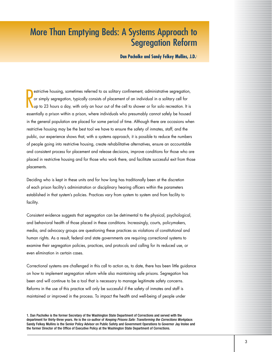# More Than Emptying Beds: A Systems Approach to Segregation Reform

**Dan Pacholke and Sandy Felkey Mullins, J.D.**<sup>1</sup>

R estrictive housing, sometimes referred to as solitary confinement, administrative segregation, or simply segregation, typically consists of placement of an individual in a solitary cell for up to 23 hours a day, with only an hour out of the cell to shower or for solo recreation. It is essentially a prison within a prison, where individuals who presumably cannot safely be housed in the general population are placed for some period of time. Although there are occasions when restrictive housing may be the best tool we have to ensure the safety of inmates, staff, and the public, our experience shows that, with a systems approach, it is possible to reduce the numbers of people going into restrictive housing, create rehabilitative alternatives, ensure an accountable and consistent process for placement and release decisions, improve conditions for those who are placed in restrictive housing and for those who work there, and facilitate successful exit from those placements.

Deciding who is kept in these units and for how long has traditionally been at the discretion of each prison facility's administration or disciplinary hearing officers within the parameters established in that system's policies. Practices vary from system to system and from facility to facility.

Consistent evidence suggests that segregation can be detrimental to the physical, psychological, and behavioral health of those placed in these conditions. Increasingly, courts, policymakers, media, and advocacy groups are questioning these practices as violations of constitutional and human rights. As a result, federal and state governments are requiring correctional systems to examine their segregation policies, practices, and protocols and calling for its reduced use, or even elimination in certain cases.

Correctional systems are challenged in this call to action as, to date, there has been little guidance on how to implement segregation reform while also maintaining safe prisons. Segregation has been and will continue to be a tool that is necessary to manage legitimate safety concerns. Reforms in the use of this practice will only be successful if the safety of inmates and staff is maintained or improved in the process. To impact the health and well-being of people under

1. Dan Pacholke is the former Secretary of the Washington State Department of Corrections and served with the department for thirty-three years. He is the co-author of *Keeping Prisons Safe: Transforming the Corrections Workplace*. Sandy Felkey Mullins is the Senior Policy Advisor on Public Safety and Government Operations to Governor Jay Inslee and the former Director of the Office of Executive Policy at the Washington State Department of Corrections.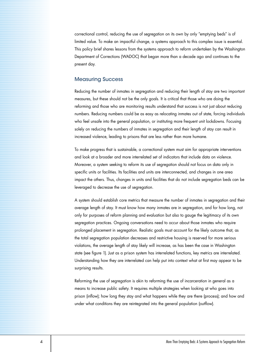correctional control, reducing the use of segregation on its own by only "emptying beds" is of limited value. To make an impactful change, a systems approach to this complex issue is essential. This policy brief shares lessons from the systems approach to reform undertaken by the Washington Department of Corrections (WADOC) that began more than a decade ago and continues to the present day.

#### Measuring Success

Reducing the number of inmates in segregation and reducing their length of stay are two important measures, but these should not be the only goals. It is critical that those who are doing the reforming and those who are monitoring results understand that success is not just about reducing numbers. Reducing numbers could be as easy as relocating inmates out of state, forcing individuals who feel unsafe into the general population, or instituting more frequent unit lockdowns. Focusing solely on reducing the numbers of inmates in segregation and their length of stay can result in increased violence, leading to prisons that are less rather than more humane.

To make progress that is sustainable, a correctional system must aim for appropriate interventions and look at a broader and more interrelated set of indicators that include data on violence. Moreover, a system seeking to reform its use of segregation should not focus on data only in specific units or facilities. Its facilities and units are interconnected, and changes in one area impact the others. Thus, changes in units and facilities that do not include segregation beds can be leveraged to decrease the use of segregation.

A system should establish core metrics that measure the number of inmates in segregation and their average length of stay. It must know how many inmates are in segregation, and for how long, not only for purposes of reform planning and evaluation but also to gauge the legitimacy of its own segregation practices. Ongoing conversations need to occur about those inmates who require prolonged placement in segregation. Realistic goals must account for the likely outcome that, as the total segregation population decreases and restrictive housing is reserved for more serious violations, the average length of stay likely will increase, as has been the case in Washington state (see figure 1). Just as a prison system has interrelated functions, key metrics are interrelated. Understanding how they are interrelated can help put into context what at first may appear to be surprising results.

Reforming the use of segregation is akin to reforming the use of incarceration in general as a means to increase public safety. It requires multiple strategies when looking at who goes into prison (inflow); how long they stay and what happens while they are there (process); and how and under what conditions they are reintegrated into the general population (outflow).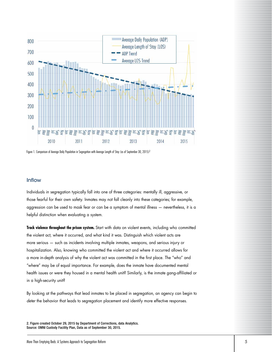

Figure 1. Comparison of Average Daily Population in Segregation with Average Length of Stay (as of September 30, 2015)<sup>2</sup>

#### Inflow

Individuals in segregation typically fall into one of three categories: mentally ill, aggressive, or those fearful for their own safety. Inmates may not fall cleanly into these categories; for example, aggression can be used to mask fear or can be a symptom of mental illness — nevertheless, it is a helpful distinction when evaluating a system.

**Track violence throughout the prison system.** Start with data on violent events, including who committed the violent act, where it occurred, and what kind it was. Distinguish which violent acts are more serious — such as incidents involving multiple inmates, weapons, and serious injury or hospitalization. Also, knowing who committed the violent act and where it occurred allows for a more in-depth analysis of why the violent act was committed in the first place. The "who" and "where" may be of equal importance. For example, does the inmate have documented mental health issues or were they housed in a mental health unit? Similarly, is the inmate gang-affiliated or in a high-security unit?

By looking at the pathways that lead inmates to be placed in segregation, an agency can begin to *deter* the behavior that leads to segregation placement and identify more effective responses.

2. Figure created October 29, 2015 by Department of Corrections, data Analytics. Source: OMNI Custody Facility Plan, Data as of September 30, 2015.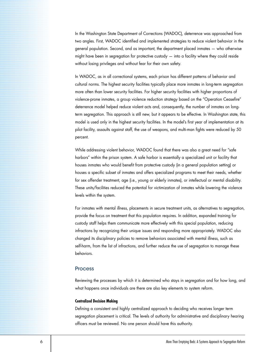In the Washington State Department of Corrections (WADOC), deterrence was approached from two angles. First, WADOC identified and implemented strategies to reduce violent behavior in the general population. Second, and as important, the department placed inmates — who otherwise might have been in segregation for protective custody — into a facility where they could reside without losing privileges and without fear for their own safety.

In WADOC, as in all correctional systems, each prison has different patterns of behavior and cultural norms. The highest security facilities typically place more inmates in long-term segregation more often than lower security facilities. For higher security facilities with higher proportions of violence-prone inmates, a group violence reduction strategy based on the "Operation Ceasefire" deterrence model helped reduce violent acts and, consequently, the number of inmates on longterm segregation. This approach is still new, but it appears to be effective. In Washington state, this model is used only in the highest security facilities. In the model's first year of implementation at its pilot facility, assaults against staff, the use of weapons, and multi-man fights were reduced by 50 percent.

While addressing violent behavior, WADOC found that there was also a great need for "safe harbors" within the prison system. A safe harbor is essentially a specialized unit or facility that houses inmates who would benefit from protective custody (in a general population setting) or houses a specific subset of inmates and offers specialized programs to meet their needs, whether for sex offender treatment, age (i.e., young or elderly inmates), or intellectual or mental disability. These units/facilities reduced the potential for victimization of inmates while lowering the violence levels within the system.

For inmates with mental illness, placements in secure treatment units, as alternatives to segregation, provide the focus on treatment that this population requires. In addition, expanded training for custody staff helps them communicate more effectively with this special population, reducing infractions by recognizing their unique issues and responding more appropriately. WADOC also changed its disciplinary policies to remove behaviors associated with mental illness, such as self-harm, from the list of infractions, and further reduce the use of segregation to manage these behaviors.

#### Process

Reviewing the processes by which it is determined who stays in segregation and for how long, and what happens once individuals are there are also key elements to system reform.

#### **Centralized Decision Making**

Defining a consistent and highly centralized approach to deciding who receives longer term segregation placement is critical. The levels of authority for administrative and disciplinary hearing officers must be reviewed. No one person should have this authority.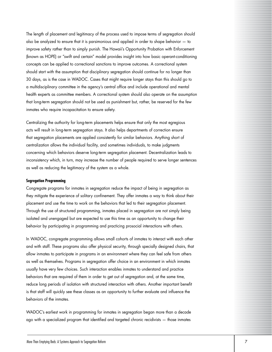The length of placement and legitimacy of the process used to impose terms of segregation should also be analyzed to ensure that it is parsimonious and applied in order to shape behavior — to improve safety rather than to simply punish. The Hawaii's Opportunity Probation with Enforcement (known as HOPE) or "swift and certain" model provides insight into how basic operant-conditioning concepts can be applied to correctional sanctions to improve outcomes. A correctional system should start with the assumption that disciplinary segregation should continue for no longer than 30 days, as is the case in WADOC. Cases that might require longer stays than this should go to a multidisciplinary committee in the agency's central office and include operational and mental health experts as committee members. A correctional system should also operate on the assumption that long-term segregation should not be used as punishment but, rather, be reserved for the few inmates who require incapacitation to ensure safety.

Centralizing the authority for long-term placements helps ensure that only the most egregious acts will result in long-term segregation stays. It also helps departments of correction ensure that segregation placements are applied consistently for similar behaviors. Anything short of centralization allows the individual facility, and sometimes individuals, to make judgments concerning which behaviors deserve long-term segregation placement. Decentralization leads to inconsistency which, in turn, may increase the number of people required to serve longer sentences as well as reducing the legitimacy of the system as a whole.

#### **Segregation Programming**

Congregate programs for inmates in segregation reduce the impact of being in segregation as they mitigate the experience of solitary confinement. They offer inmates a way to think about their placement and use the time to work on the behaviors that led to their segregation placement. Through the use of structured programming, inmates placed in segregation are not simply being isolated and unengaged but are expected to use this time as an opportunity to change their behavior by participating in programming and practicing prosocial interactions with others.

In WADOC, congregate programming allows small cohorts of inmates to interact with each other and with staff. These programs also offer physical security, through specially designed chairs, that allow inmates to participate in programs in an environment where they can feel safe from others as well as themselves. Programs in segregation offer choice in an environment in which inmates usually have very few choices. Such interaction enables inmates to understand and practice behaviors that are required of them in order to get out of segregation and, at the same time, reduce long periods of isolation with structured interaction with others. Another important benefit is that staff will quickly see these classes as an opportunity to further evaluate and influence the behaviors of the inmates.

WADOC's earliest work in programming for inmates in segregation began more than a decade ago with a specialized program that identified and targeted chronic recidivists — those inmates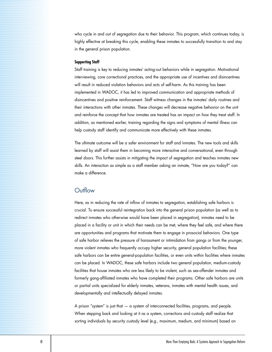who cycle in and out of segregation due to their behavior. This program, which continues today, is highly effective at breaking this cycle, enabling these inmates to successfully transition to and stay in the general prison population.

#### **Supporting Staff**

Staff training is key to reducing inmates' acting-out behaviors while in segregation. Motivational interviewing, core correctional practices, and the appropriate use of incentives and disincentives will result in reduced violation behaviors and acts of self-harm. As this training has been implemented in WADOC, it has led to improved communication and appropriate methods of disincentives and positive reinforcement. Staff witness changes in the inmates' daily routines and their interactions with other inmates. These changes will decrease negative behavior on the unit and reinforce the concept that how inmates are treated has an impact on how they treat staff. In addition, as mentioned earlier, training regarding the signs and symptoms of mental illness can help custody staff identify and communicate more effectively with these inmates.

The ultimate outcome will be a safer environment for staff and inmates. The new tools and skills learned by staff will assist them in becoming more interactive and conversational, even through steel doors. This further assists in mitigating the impact of segregation and teaches inmates new skills. An interaction as simple as a staff member asking an inmate, "How are you today?" can make a difference.

## **Outflow**

Here, as in reducing the rate of inflow of inmates to segregation, establishing safe harbors is crucial. To ensure successful reintegration back into the general prison population (as well as to redirect inmates who otherwise would have been placed in segregation), inmates need to be placed in a facility or unit in which their needs can be met, where they feel safe, and where there are opportunities and programs that motivate them to engage in prosocial behaviors. One type of safe harbor relieves the pressure of harassment or intimidation from gangs or from the younger, more violent inmates who frequently occupy higher security, general population facilities; these safe harbors can be entire general-population facilities, or even units within facilities where inmates can be placed. In WADOC, these safe harbors include two general population, medium-custody facilities that house inmates who are less likely to be violent, such as sex-offender inmates and formerly gang-affiliated inmates who have completed their programs. Other safe harbors are units or partial units specialized for elderly inmates, veterans, inmates with mental health issues, and developmentally and intellectually delayed inmates.

A prison "system" is just that — a system of interconnected facilities, programs, and people. When stepping back and looking at it as a system, corrections and custody staff realize that sorting individuals by security custody level (e.g., maximum, medium, and minimum) based on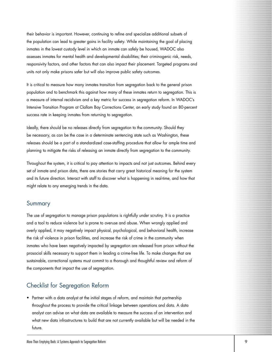their behavior is important. However, continuing to refine and specialize additional subsets of the population can lead to greater gains in facility safety. While maintaining the goal of placing inmates in the lowest custody level in which an inmate can safely be housed, WADOC also assesses inmates for mental health and developmental disabilities; their criminogenic risk, needs, responsivity factors, and other factors that can also impact their placement. Targeted programs and units not only make prisons safer but will also improve public safety outcomes.

It is critical to measure how many inmates transition from segregation back to the general prison population and to benchmark this against how many of these inmates return to segregation. This is a measure of internal recidivism and a key metric for success in segregation reform. In WADOC's Intensive Transition Program at Clallam Bay Corrections Center, an early study found an 80-percent success rate in keeping inmates from returning to segregation.

Ideally, there should be no releases directly from segregation to the community. Should they be necessary, as can be the case in a determinate sentencing state such as Washington, these releases should be a part of a standardized case-staffing procedure that allow for ample time and planning to mitigate the risks of releasing an inmate directly from segregation to the community.

Throughout the system, it is critical to pay attention to impacts and not just outcomes. Behind every set of inmate and prison data, there are stories that carry great historical meaning for the system and its future direction. Interact with staff to discover what is happening in real-time, and how that might relate to any emerging trends in the data.

## Summary

The use of segregation to manage prison populations is rightfully under scrutiny. It is a practice and a tool to reduce violence but is prone to overuse and abuse. When wrongly applied and overly applied, it may negatively impact physical, psychological, and behavioral health, increase the risk of violence in prison facilities, and increase the risk of crime in the community when inmates who have been negatively impacted by segregation are released from prison without the prosocial skills necessary to support them in leading a crime-free life. To make changes that are sustainable, correctional systems must commit to a thorough and thoughtful review and reform of the components that impact the use of segregation.

## Checklist for Segregation Reform

• Partner with a data analyst at the initial stages of reform, and maintain that partnership throughout the process to provide the critical linkage between operations and data. A data analyst can advise on what data are available to measure the success of an intervention and what new data infrastructures to build that are not currently available but will be needed in the future.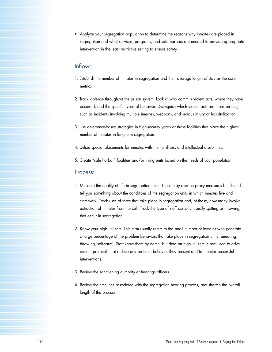• Analyze your segregation population to determine the reasons why inmates are placed in segregation and what services, programs, and safe harbors are needed to provide appropriate intervention in the least restrictive setting to ensure safety.

## Inflow:

- 1. Establish the number of inmates in segregation and their average length of stay as the core metrics.
- 2. Track violence throughout the prison system. Look at who commits violent acts, where they have occurred, and the specific types of behavior. Distinguish which violent acts are more serious, such as incidents involving multiple inmates, weapons, and serious injury or hospitalization.
- 3. Use deterrence-based strategies in high-security yards or those facilities that place the highest number of inmates in long-term segregation.
- 4. Utilize special placements for inmates with mental illness and intellectual disabilities.
- 5. Create "safe harbor" facilities and/or living units based on the needs of your population.

### Process:

- 1. Measure the quality of life in segregation units. These may also be proxy measures but should tell you something about the conditions of the segregation units in which inmates live and staff work. Track uses of force that take place in segregation and, of those, how many involve extraction of inmates from the cell. Track the type of staff assaults (usually spitting or throwing) that occur in segregation.
- 2. Know your high utilizers. This term usually refers to the small number of inmates who generate a large percentage of the problem behaviors that take place in segregation units (smearing, throwing, self-harm). Staff know them by name, but data on high-utilizers is best used to drive custom protocols that reduce any problem behavior they present and to monitor successful interventions.
- 3. Review the sanctioning authority of hearings officers.
- 4. Review the timelines associated with the segregation hearing process, and shorten the overall length of the process.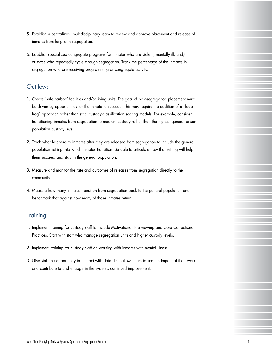- 5. Establish a centralized, multidisciplinary team to review and approve placement and release of inmates from long-term segregation.
- 6. Establish specialized congregate programs for inmates who are violent, mentally ill, and/ or those who repeatedly cycle through segregation. Track the percentage of the inmates in segregation who are receiving programming or congregate activity.

## Outflow:

- 1. Create "safe harbor" facilities and/or living units. The goal of post-segregation placement must be driven by opportunities for the inmate to succeed. This may require the addition of a "leap frog" approach rather than strict custody-classification scoring models. For example, consider transitioning inmates from segregation to medium custody rather than the highest general prison population custody level.
- 2. Track what happens to inmates after they are released from segregation to include the general population setting into which inmates transition. Be able to articulate how that setting will help them succeed and stay in the general population.
- 3. Measure and monitor the rate and outcomes of releases from segregation directly to the community.
- 4. Measure how many inmates transition from segregation back to the general population and benchmark that against how many of those inmates return.

## Training:

- 1. Implement training for custody staff to include Motivational Interviewing and Core Correctional Practices. Start with staff who manage segregation units and higher custody levels.
- 2. Implement training for custody staff on working with inmates with mental illness.
- 3. Give staff the opportunity to interact with data. This allows them to see the impact of their work and contribute to and engage in the system's continued improvement.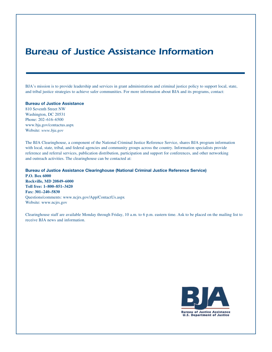## *Bureau of Justice Assistance Information*

BJA's mission is to provide leadership and services in grant administration and criminal justice policy to support local, state, and tribal justice strategies to achieve safer communities. For more information about BJA and its programs, contact:

#### Bureau of Justice Assistance

810 Seventh Street NW Washington, DC 20531 Phone: 202–616–6500 www.bja.gov/contactus.aspx Website: *www.bja.gov*

The BJA Clearinghouse, a component of the National Criminal Justice Reference Service, shares BJA program information with local, state, tribal, and federal agencies and community groups across the country. Information specialists provide reference and referral services, publication distribution, participation and support for conferences, and other networking and outreach activities. The clearinghouse can be contacted at:

Bureau of Justice Assistance Clearinghouse (National Criminal Justice Reference Service) **P.O. Box 6000 Rockville, MD 20849–6000 Toll free: 1–800–851–3420 Fax: 301–240–5830** Questions/comments: www.ncjrs.gov/App/ContactUs.aspx Website: www.ncjrs.gov

Clearinghouse staff are available Monday through Friday, 10 a.m. to 6 p.m. eastern time. Ask to be placed on the mailing list to receive BJA news and information.